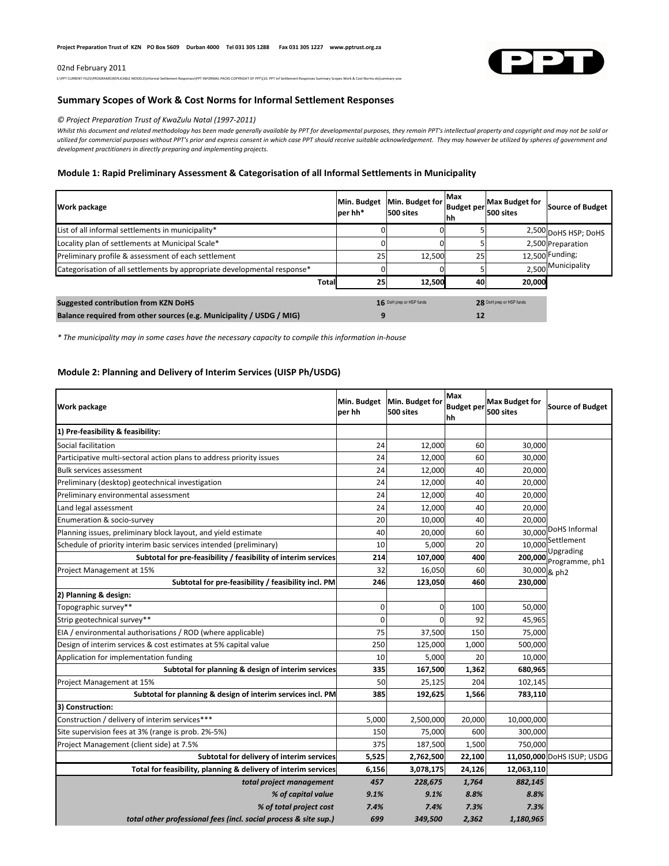#### 02nd February 2011



S:\PPT CURRENT FILES\PROGRAMS\REPLICABLE MODELS\Informal Settlement Responses\PPT INFORMAL PACKS COPYRIGHT OF PPT\[10. PPT Inf Settlement Responses Summary Scopes Work & Cost Norms.xls]summary sow

## **Summary Scopes of Work & Cost Norms for Informal Settlement Responses**

### *© Project Preparation Trust of KwaZulu Natal (1997-2011)*

Whilst this document and related methodology has been made generally available by PPT for developmental purposes, they remain PPT's intellectual property and copyright and may not be sold or *utilized for commercial purposes without PPT's prior and express consent in which case PPT should receive suitable acknowledgement. They may however be utilized by spheres of government and development practitioners in directly preparing and implementing projects.*

### **Module 1: Rapid Preliminary Assessment & Categorisation of all Informal Settlements in Municipality**

| Work package                                                             | Min. Budget<br>per hh* | Min. Budget for<br>500 sites | Max<br><b>Budget per</b><br>hh | <b>Max Budget for</b><br>500 sites | Source of Budget     |
|--------------------------------------------------------------------------|------------------------|------------------------------|--------------------------------|------------------------------------|----------------------|
| List of all informal settlements in municipality*                        |                        |                              |                                |                                    | 2,500 DoHS HSP; DoHS |
| Locality plan of settlements at Municipal Scale*                         |                        |                              |                                |                                    | 2,500 Preparation    |
| Preliminary profile & assessment of each settlement                      | 25                     | 12.500                       | 25                             |                                    | 12.500 Funding;      |
| Categorisation of all settlements by appropriate developmental response* |                        |                              |                                |                                    | 2,500 Municipality   |
| <b>Total</b>                                                             | 25                     | 12.500                       | 40                             | 20,000                             |                      |
| <b>Suggested contribution from KZN DoHS</b>                              |                        | 16 DoH prep or HSP funds     |                                | 28 DoH prep or HSP funds           |                      |
| Balance required from other sources (e.g. Municipality / USDG / MIG)     |                        |                              | 12                             |                                    |                      |

*\* The municipality may in some cases have the necessary capacity to compile this information in-house*

## **Module 2: Planning and Delivery of Interim Services (UISP Ph/USDG)**

| Work package                                                         | Min. Budget<br>per hh | Min. Budget for<br>500 sites | Max<br><b>Budget per</b><br>hh | <b>Max Budget for</b><br>500 sites | <b>Source of Budget</b>    |
|----------------------------------------------------------------------|-----------------------|------------------------------|--------------------------------|------------------------------------|----------------------------|
| 1) Pre-feasibility & feasibility:                                    |                       |                              |                                |                                    |                            |
| Social facilitation                                                  | 24                    | 12,000                       | 60                             | 30,000                             |                            |
| Participative multi-sectoral action plans to address priority issues | 24                    | 12,000                       | 60                             | 30,000                             |                            |
| <b>Bulk services assessment</b>                                      | 24                    | 12,000                       | 40                             | 20,000                             |                            |
| Preliminary (desktop) geotechnical investigation                     | 24                    | 12,000                       | 40                             | 20,000                             |                            |
| Preliminary environmental assessment                                 | 24                    | 12,000                       | 40                             | 20,000                             |                            |
| Land legal assessment                                                | 24                    | 12,000                       | 40                             | 20,000                             |                            |
| Enumeration & socio-survey                                           | 20                    | 10,000                       | 40                             | 20,000                             |                            |
| Planning issues, preliminary block layout, and yield estimate        | 40                    | 20,000                       | 60                             | 30,000                             | DoHS Informal              |
| Schedule of priority interim basic services intended (preliminary)   | 10                    | 5,000                        | 20                             | 10,000                             | Settlement<br>Upgrading    |
| Subtotal for pre-feasibility / feasibility of interim services       | 214                   | 107,000                      | 400                            | 200,000                            | Programme, ph1             |
| Project Management at 15%                                            | 32                    | 16,050                       | 60                             |                                    | 30,000 & ph2               |
| Subtotal for pre-feasibility / feasibility incl. PM                  | 246                   | 123,050                      | 460                            | 230,000                            |                            |
| 2) Planning & design:                                                |                       |                              |                                |                                    |                            |
| Topographic survey**                                                 | 0                     | $\Omega$                     | 100                            | 50,000                             |                            |
| Strip geotechnical survey**                                          | $\mathbf 0$           | $\Omega$                     | 92                             | 45,965                             |                            |
| EIA / environmental authorisations / ROD (where applicable)          | 75                    | 37,500                       | 150                            | 75,000                             |                            |
| Design of interim services & cost estimates at 5% capital value      | 250                   | 125,000                      | 1,000                          | 500,000                            |                            |
| Application for implementation funding                               | 10                    | 5,000                        | 20                             | 10,000                             |                            |
| Subtotal for planning & design of interim services                   | 335                   | 167,500                      | 1,362                          | 680,965                            |                            |
| Project Management at 15%                                            | 50                    | 25,125                       | 204                            | 102,145                            |                            |
| Subtotal for planning & design of interim services incl. PM          | 385                   | 192,625                      | 1,566                          | 783,110                            |                            |
| 3) Construction:                                                     |                       |                              |                                |                                    |                            |
| Construction / delivery of interim services***                       | 5,000                 | 2,500,000                    | 20,000                         | 10,000,000                         |                            |
| Site supervision fees at 3% (range is prob. 2%-5%)                   | 150                   | 75,000                       | 600                            | 300,000                            |                            |
| Project Management (client side) at 7.5%                             | 375                   | 187,500                      | 1,500                          | 750,000                            |                            |
| Subtotal for delivery of interim services                            | 5,525                 | 2,762,500                    | 22,100                         |                                    | 11,050,000 DoHS ISUP; USDG |
| Total for feasibility, planning & delivery of interim services       | 6,156                 | 3,078,175                    | 24,126                         | 12,063,110                         |                            |
| total project management                                             | 457                   | 228,675                      | 1,764                          | 882,145                            |                            |
| % of capital value                                                   | 9.1%                  | 9.1%                         | 8.8%                           | 8.8%                               |                            |
| % of total project cost                                              | 7.4%                  | 7.4%                         | 7.3%                           | 7.3%                               |                            |
| total other professional fees (incl. social process & site sup.)     | 699                   | 349,500                      | 2,362                          | 1,180,965                          |                            |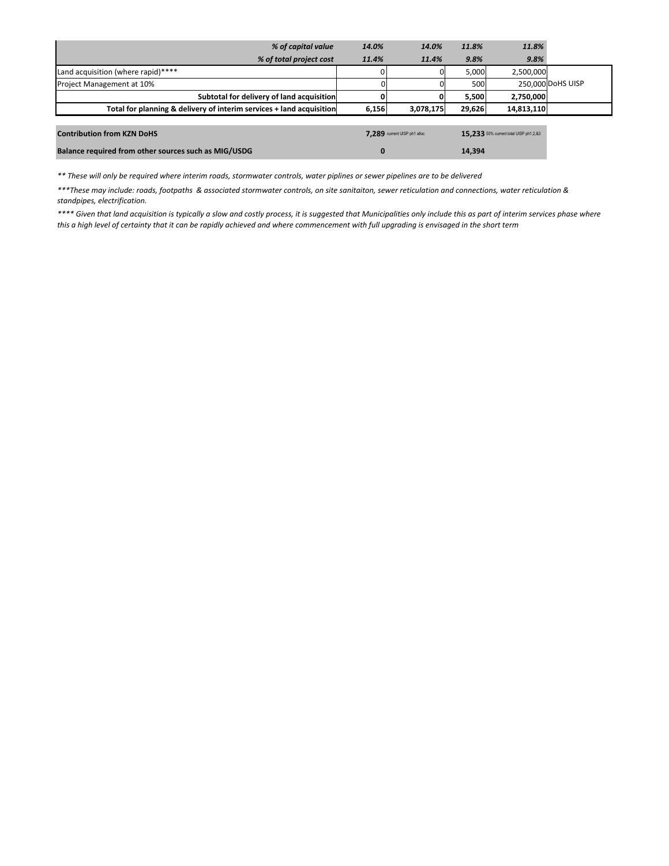| % of capital value                                                   | 14.0%                        | 14.0%     | 11.8%  | 11.8%                                  |                   |
|----------------------------------------------------------------------|------------------------------|-----------|--------|----------------------------------------|-------------------|
| % of total project cost                                              | 11.4%                        | 11.4%     | 9.8%   | 9.8%                                   |                   |
| Land acquisition (where rapid)****                                   |                              |           | 5,000  | 2,500,000                              |                   |
| Project Management at 10%                                            |                              |           | 500    |                                        | 250,000 DoHS UISP |
| Subtotal for delivery of land acquisition                            |                              | 0         | 5,500  | 2,750,000                              |                   |
| Total for planning & delivery of interim services + land acquisition | 6,156                        | 3,078,175 | 29,626 | 14,813,110                             |                   |
|                                                                      |                              |           |        |                                        |                   |
| <b>Contribution from KZN DoHS</b>                                    | 7.289 current UISP ph1 alloc |           |        | 15.233 50% current total UISP ph1,2,83 |                   |
| Balance required from other sources such as MIG/USDG                 | $\bf{0}$                     |           | 14,394 |                                        |                   |

*\*\* These will only be required where interim roads, stormwater controls, water piplines or sewer pipelines are to be delivered*

*\*\*\*These may include: roads, footpaths & associated stormwater controls, on site sanitaiton, sewer reticulation and connections, water reticulation & standpipes, electrification.*

*\*\*\*\* Given that land acquisition is typically a slow and costly process, it is suggested that Municipalities only include this as part of interim services phase where this a high level of certainty that it can be rapidly achieved and where commencement with full upgrading is envisaged in the short term*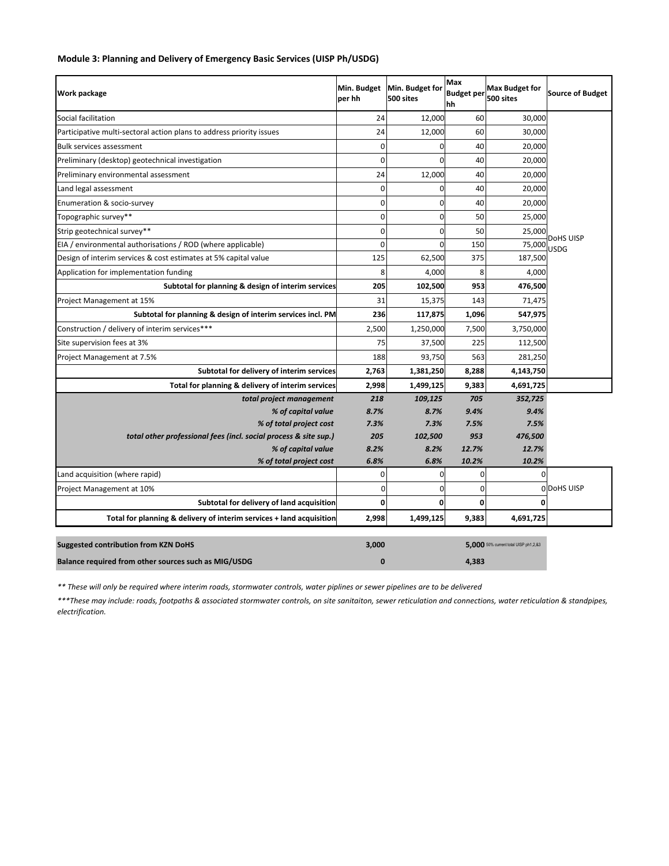| Work package                                                         | Min. Budget<br>per hh | Min. Budget for<br>500 sites | Max<br><b>Budget per</b><br>hh | <b>Max Budget for</b><br>500 sites    | <b>Source of Budget</b> |
|----------------------------------------------------------------------|-----------------------|------------------------------|--------------------------------|---------------------------------------|-------------------------|
| Social facilitation                                                  | 24                    | 12,000                       | 60                             | 30,000                                |                         |
| Participative multi-sectoral action plans to address priority issues | 24                    | 12,000                       | 60                             | 30,000                                |                         |
| <b>Bulk services assessment</b>                                      | 0                     | $\Omega$                     | 40                             | 20,000                                |                         |
| Preliminary (desktop) geotechnical investigation                     | 0                     | $\Omega$                     | 40                             | 20,000                                |                         |
| Preliminary environmental assessment                                 | 24                    | 12,000                       | 40                             | 20,000                                |                         |
| Land legal assessment                                                | 0                     | $\Omega$                     | 40                             | 20,000                                |                         |
| Enumeration & socio-survey                                           | 0                     | $\mathbf 0$                  | 40                             | 20,000                                |                         |
| Topographic survey**                                                 | 0                     | $\mathbf 0$                  | 50                             | 25,000                                |                         |
| Strip geotechnical survey**                                          | 0                     | 0                            | 50                             | 25,000                                |                         |
| EIA / environmental authorisations / ROD (where applicable)          | 0                     | $\mathbf 0$                  | 150                            | 75,000                                | DoHS UISP<br>USDG       |
| Design of interim services & cost estimates at 5% capital value      | 125                   | 62,500                       | 375                            | 187,500                               |                         |
| Application for implementation funding                               | 8                     | 4,000                        | 8                              | 4,000                                 |                         |
| Subtotal for planning & design of interim services                   | 205                   | 102,500                      | 953                            | 476,500                               |                         |
| Project Management at 15%                                            | 31                    | 15,375                       | 143                            | 71,475                                |                         |
| Subtotal for planning & design of interim services incl. PM          | 236                   | 117,875                      | 1,096                          | 547,975                               |                         |
| Construction / delivery of interim services***                       | 2,500                 | 1,250,000                    | 7,500                          | 3,750,000                             |                         |
| Site supervision fees at 3%                                          | 75                    | 37,500                       | 225                            | 112,500                               |                         |
| Project Management at 7.5%                                           | 188                   | 93,750                       | 563                            | 281,250                               |                         |
| Subtotal for delivery of interim services                            | 2,763                 | 1,381,250                    | 8,288                          | 4,143,750                             |                         |
| Total for planning & delivery of interim services                    | 2,998                 | 1,499,125                    | 9,383                          | 4,691,725                             |                         |
| total project management                                             | 218                   | 109,125                      | 705                            | 352,725                               |                         |
| % of capital value                                                   | 8.7%                  | 8.7%                         | 9.4%                           | 9.4%                                  |                         |
| % of total project cost                                              | 7.3%                  | 7.3%                         | 7.5%                           | 7.5%                                  |                         |
| total other professional fees (incl. social process & site sup.)     | 205                   | 102,500                      | 953                            | 476,500                               |                         |
| % of capital value<br>% of total project cost                        | 8.2%<br>6.8%          | 8.2%<br>6.8%                 | 12.7%<br>10.2%                 | 12.7%<br>10.2%                        |                         |
| Land acquisition (where rapid)                                       | 0                     | 0                            | $\mathbf 0$                    | $\Omega$                              |                         |
| Project Management at 10%                                            | 0                     | 0                            | 0                              |                                       | ODOHS UISP              |
| Subtotal for delivery of land acquisition                            | 0                     | 0                            | 0                              |                                       |                         |
| Total for planning & delivery of interim services + land acquisition | 2,998                 | 1,499,125                    | 9,383                          | 4,691,725                             |                         |
| <b>Suggested contribution from KZN DoHS</b>                          | 3,000                 |                              |                                | 5.000 50% current total UISP ph1,2,83 |                         |
| Balance required from other sources such as MIG/USDG                 | O                     |                              | 4.383                          |                                       |                         |

# **Module 3: Planning and Delivery of Emergency Basic Services (UISP Ph/USDG)**

*\*\* These will only be required where interim roads, stormwater controls, water piplines or sewer pipelines are to be delivered*

*\*\*\*These may include: roads, footpaths & associated stormwater controls, on site sanitaiton, sewer reticulation and connections, water reticulation & standpipes, electrification.*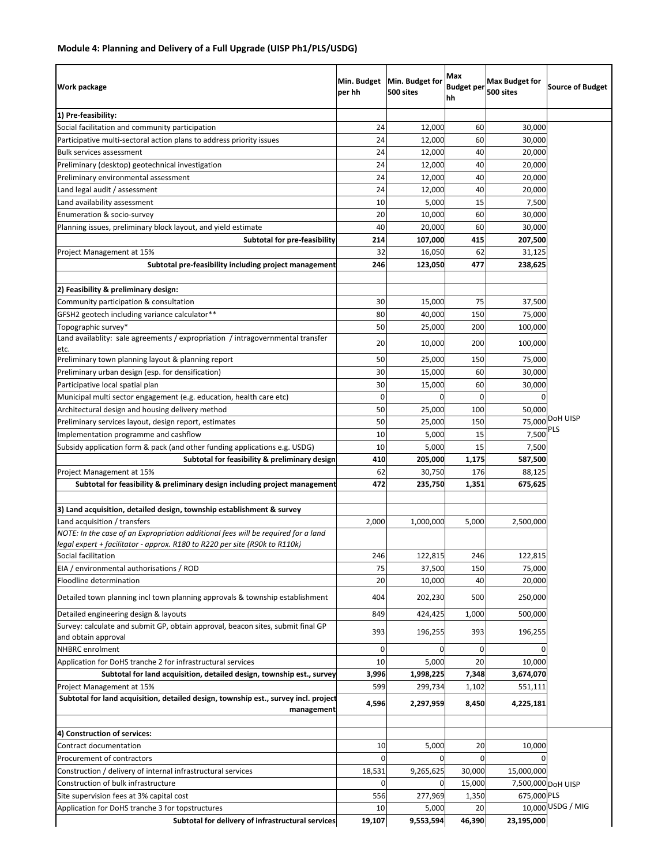# **Module 4: Planning and Delivery of a Full Upgrade (UISP Ph1/PLS/USDG)**

| Work package                                                                                            | Min. Budget<br>per hh | Min. Budget for<br>500 sites | Max<br><b>Budget per</b><br>hh | <b>Max Budget for</b><br>500 sites | <b>Source of Budget</b> |
|---------------------------------------------------------------------------------------------------------|-----------------------|------------------------------|--------------------------------|------------------------------------|-------------------------|
| 1) Pre-feasibility:                                                                                     |                       |                              |                                |                                    |                         |
| Social facilitation and community participation                                                         | 24                    | 12,000                       | 60                             | 30,000                             |                         |
| Participative multi-sectoral action plans to address priority issues                                    | 24                    | 12,000                       | 60                             | 30,000                             |                         |
| Bulk services assessment                                                                                | 24                    | 12,000                       | 40                             | 20,000                             |                         |
| Preliminary (desktop) geotechnical investigation                                                        | 24                    | 12,000                       | 40                             | 20,000                             |                         |
| Preliminary environmental assessment                                                                    | 24                    | 12,000                       | 40                             | 20,000                             |                         |
| Land legal audit / assessment                                                                           | 24                    | 12,000                       | 40                             | 20,000                             |                         |
| Land availability assessment                                                                            | 10                    | 5,000                        | 15                             | 7,500                              |                         |
| Enumeration & socio-survey                                                                              | 20                    | 10,000                       | 60                             | 30,000                             |                         |
| Planning issues, preliminary block layout, and yield estimate                                           | 40                    | 20,000                       | 60                             | 30,000                             |                         |
| Subtotal for pre-feasibility                                                                            | 214                   | 107,000                      | 415                            | 207,500                            |                         |
| Project Management at 15%                                                                               | 32                    | 16,050                       | 62                             | 31,125                             |                         |
| Subtotal pre-feasibility including project management                                                   | 246                   | 123,050                      | 477                            | 238,625                            |                         |
| 2) Feasibility & preliminary design:                                                                    |                       |                              |                                |                                    |                         |
| Community participation & consultation                                                                  | 30                    | 15,000                       | 75                             | 37,500                             |                         |
| GFSH2 geotech including variance calculator**                                                           | 80                    | 40,000                       | 150                            | 75,000                             |                         |
| Topographic survey*                                                                                     | 50                    | 25,000                       | 200                            | 100,000                            |                         |
| Land availablity: sale agreements / expropriation / intragovernmental transfer<br>etc.                  | 20                    | 10,000                       | 200                            | 100,000                            |                         |
| Preliminary town planning layout & planning report                                                      | 50                    | 25,000                       | 150                            | 75,000                             |                         |
| Preliminary urban design (esp. for densification)                                                       | 30                    | 15,000                       | 60                             | 30,000                             |                         |
| Participative local spatial plan                                                                        | 30                    | 15,000                       | 60                             | 30,000                             |                         |
| Municipal multi sector engagement (e.g. education, health care etc)                                     | 0                     | $\Omega$                     | $\mathbf 0$                    | $\Omega$                           |                         |
| Architectural design and housing delivery method                                                        | 50                    | 25,000                       | 100                            | 50,000                             |                         |
| Preliminary services layout, design report, estimates                                                   | 50                    | 25,000                       | 150                            | 75,000                             | DoH UISP                |
| Implementation programme and cashflow                                                                   | 10                    | 5,000                        | 15                             | 7,500                              | PLS                     |
| Subsidy application form & pack (and other funding applications e.g. USDG)                              | 10                    | 5,000                        | 15                             | 7,500                              |                         |
| Subtotal for feasibility & preliminary design                                                           | 410                   | 205,000                      | 1,175                          | 587,500                            |                         |
| Project Management at 15%<br>Subtotal for feasibility & preliminary design including project management | 62<br>472             | 30,750<br>235,750            | 176<br>1,351                   | 88,125<br>675,625                  |                         |
|                                                                                                         |                       |                              |                                |                                    |                         |
| 3) Land acquisition, detailed design, township establishment & survey<br>Land acquisition / transfers   | 2,000                 | 1,000,000                    | 5,000                          | 2,500,000                          |                         |
| NOTE: In the case of an Expropriation additional fees will be required for a land                       |                       |                              |                                |                                    |                         |
| legal expert + facilitator - approx. R180 to R220 per site (R90k to R110k)<br>Social facilitation       | 246                   | 122,815                      | 246                            |                                    |                         |
|                                                                                                         | 75                    | 37,500                       |                                | 122,815<br>75,000                  |                         |
| EIA / environmental authorisations / ROD<br>Floodline determination                                     | 20                    | 10,000                       | 150<br>40                      | 20,000                             |                         |
| Detailed town planning incl town planning approvals & township establishment                            | 404                   | 202,230                      | 500                            | 250,000                            |                         |
| Detailed engineering design & layouts                                                                   | 849                   | 424,425                      | 1,000                          | 500,000                            |                         |
| Survey: calculate and submit GP, obtain approval, beacon sites, submit final GP                         | 393                   | 196,255                      | 393                            | 196,255                            |                         |
| and obtain approval<br>NHBRC enrolment                                                                  |                       |                              | 0                              |                                    |                         |
| Application for DoHS tranche 2 for infrastructural services                                             | 10                    | 5,000                        | 20                             | 10,000                             |                         |
| Subtotal for land acquisition, detailed design, township est., survey                                   | 3,996                 | 1,998,225                    | 7,348                          | 3,674,070                          |                         |
| Project Management at 15%                                                                               | 599                   | 299,734                      | 1,102                          | 551,111                            |                         |
| Subtotal for land acquisition, detailed design, township est., survey incl. project<br>management       | 4,596                 | 2,297,959                    | 8,450                          | 4,225,181                          |                         |
| 4) Construction of services:                                                                            |                       |                              |                                |                                    |                         |
| Contract documentation                                                                                  | 10                    | 5,000                        | 20                             | 10,000                             |                         |
| Procurement of contractors                                                                              | 0                     | <sup>0</sup>                 | 0                              |                                    |                         |
| Construction / delivery of internal infrastructural services                                            | 18,531                | 9,265,625                    | 30,000                         | 15,000,000                         |                         |
| Construction of bulk infrastructure                                                                     | 0                     | 0                            | 15,000                         |                                    | 7,500,000 DoH UISP      |
| Site supervision fees at 3% capital cost                                                                | 556                   | 277,969                      | 1,350                          | 675,000 PLS                        |                         |
| Application for DoHS tranche 3 for topstructures                                                        | 10                    | 5,000                        | 20                             |                                    | 10,000 USDG / MIG       |
| Subtotal for delivery of infrastructural services                                                       | 19,107                | 9,553,594                    | 46,390                         | 23,195,000                         |                         |